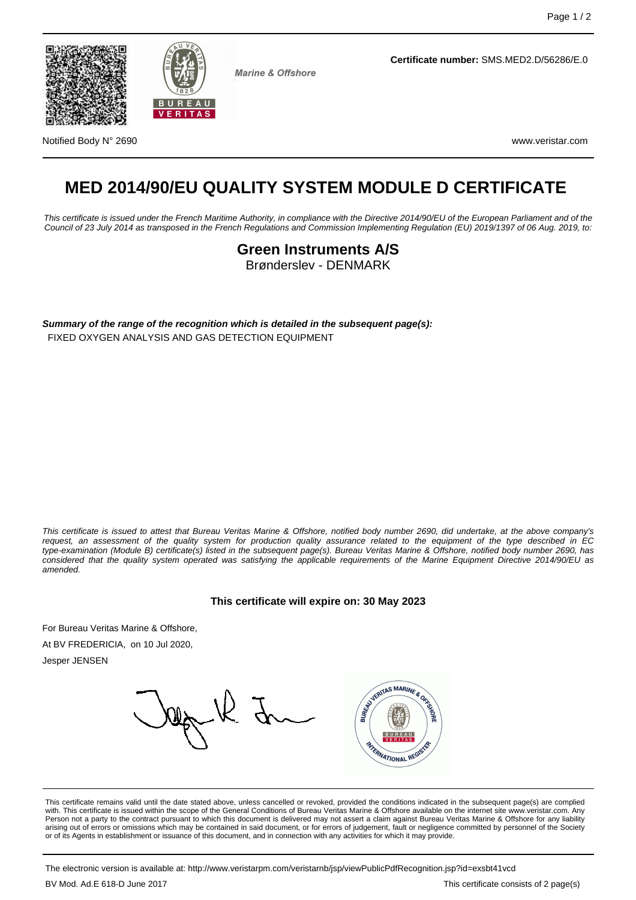



**Marine & Offshore** 

**Certificate number:** SMS.MED2.D/56286/E.0

Notified Body N° 2690 www.veristar.com

# **MED 2014/90/EU QUALITY SYSTEM MODULE D CERTIFICATE**

This certificate is issued under the French Maritime Authority, in compliance with the Directive 2014/90/EU of the European Parliament and of the Council of 23 July 2014 as transposed in the French Regulations and Commission Implementing Regulation (EU) 2019/1397 of 06 Aug. 2019, to:

> **Green Instruments A/S** Brønderslev - DENMARK

**Summary of the range of the recognition which is detailed in the subsequent page(s):** FIXED OXYGEN ANALYSIS AND GAS DETECTION EQUIPMENT

This certificate is issued to attest that Bureau Veritas Marine & Offshore, notified body number 2690, did undertake, at the above company's request, an assessment of the quality system for production quality assurance related to the equipment of the type described in EC type-examination (Module B) certificate(s) listed in the subsequent page(s). Bureau Veritas Marine & Offshore, notified body number 2690, has considered that the quality system operated was satisfying the applicable requirements of the Marine Equipment Directive 2014/90/EU as amended.

**This certificate will expire on: 30 May 2023**

For Bureau Veritas Marine & Offshore,

At BV FREDERICIA, on 10 Jul 2020,

Jesper JENSEN



This certificate remains valid until the date stated above, unless cancelled or revoked, provided the conditions indicated in the subsequent page(s) are complied with. This certificate is issued within the scope of the General Conditions of Bureau Veritas Marine & Offshore available on the internet site www.veristar.com. Any Person not a party to the contract pursuant to which this document is delivered may not assert a claim against Bureau Veritas Marine & Offshore for any liability arising out of errors or omissions which may be contained in said document, or for errors of judgement, fault or negligence committed by personnel of the Society or of its Agents in establishment or issuance of this document, and in connection with any activities for which it may provide.

The electronic version is available at: http://www.veristarpm.com/veristarnb/jsp/viewPublicPdfRecognition.jsp?id=exsbt41vcd